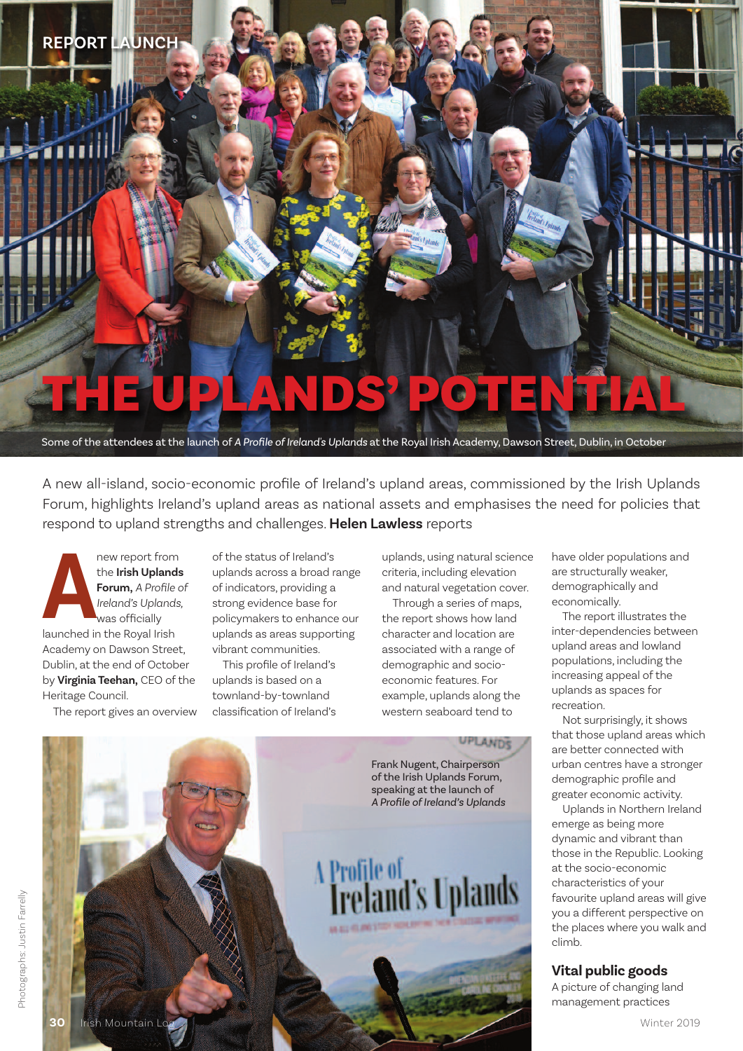

A new all-island, socio-economic profile of Ireland's upland areas, commissioned by the Irish Uplands Forum, highlights Ireland's upland areas as national assets and emphasises the need for policies that respond to upland strengths and challenges. **Helen Lawless** reports

**Annew report from the Irish Upland Forum, A Profile Irish Uplands<br>
<b>Annew Royal Irish Uplands**<br>
Was officially launched in the Royal Irish the **Irish Uplands Forum,** *A Profile of Ireland's Uplands,* was officially Academy on Dawson Street, Dublin, at the end of October by **Virginia Teehan**, CEO of the Heritage Council.

The report gives an overview

ofthe status of Ireland's uplands across a broad range of indicators, providing a strong evidence base for policymakers to enhance our uplands as areas supporting vibrant communities.

This profile of Ireland's uplands is based on a townland-by-townland classification of Ireland's

uplands, using natural science criteria, including elevation and natural vegetation cover.

Through a series of maps, the report shows how land character and location are associated with a range of demographic and socioeconomic features. For example, uplands along the western seaboard tend to

UPLANDS

Frank Nugent, Chairperson of the Irish Uplands Forum, speaking at the launch of  $\overline{A}$  *Profile* of *Ireland's* Uplands

A Profile of<br>**Treland's Uplands** 

have older populations and are structurally weaker, demographically and economically.

The report illustrates the inter-dependencies between upland areas and lowland populations, including the increasing appeal of the uplands as spaces for recreation.

Not surprisingly, it shows that those upland areas which are better connected with urban centres have a stronger demographic profile and greater economic activity.

Uplands in Northern Ireland emerge as being more dynamic and vibrant than those in the Republic. Looking at the socio-economic characteristics of your favourite upland areas will give you a different perspective on the places where you walk and climb.

## **Vital public goods**

A picture of changing land management practices